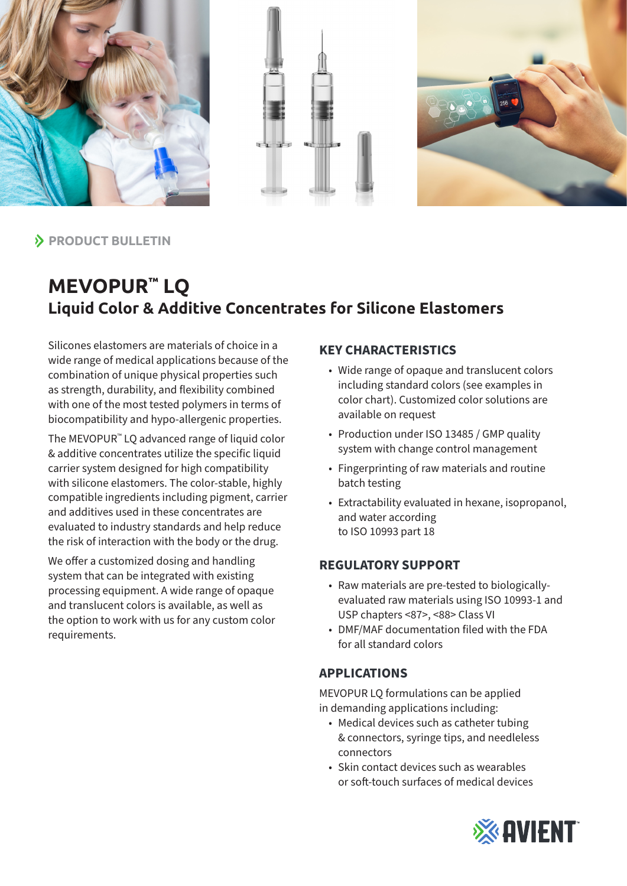





**PRODUCT BULLETIN** 

# **MEVOPUR™ LQ Liquid Color & Additive Concentrates for Silicone Elastomers**

Silicones elastomers are materials of choice in a wide range of medical applications because of the combination of unique physical properties such as strength, durability, and flexibility combined with one of the most tested polymers in terms of biocompatibility and hypo-allergenic properties.

The MEVOPUR™ LQ advanced range of liquid color & additive concentrates utilize the specific liquid carrier system designed for high compatibility with silicone elastomers. The color-stable, highly compatible ingredients including pigment, carrier and additives used in these concentrates are evaluated to industry standards and help reduce the risk of interaction with the body or the drug.

We offer a customized dosing and handling system that can be integrated with existing processing equipment. A wide range of opaque and translucent colors is available, as well as the option to work with us for any custom color requirements.

## **KEY CHARACTERISTICS**

- Wide range of opaque and translucent colors including standard colors (see examples in color chart). Customized color solutions are available on request
- Production under ISO 13485 / GMP quality system with change control management
- Fingerprinting of raw materials and routine batch testing
- Extractability evaluated in hexane, isopropanol, and water according to ISO 10993 part 18

## **REGULATORY SUPPORT**

- Raw materials are pre-tested to biologicallyevaluated raw materials using ISO 10993-1 and USP chapters <87>, <88> Class VI
- DMF/MAF documentation filed with the FDA for all standard colors

#### **APPLICATIONS**

MEVOPUR LQ formulations can be applied in demanding applications including:

- Medical devices such as catheter tubing & connectors, syringe tips, and needleless connectors
- Skin contact devices such as wearables or soft-touch surfaces of medical devices